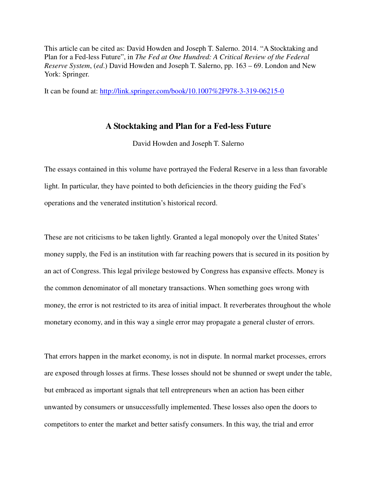This article can be cited as: David Howden and Joseph T. Salerno. 2014. "A Stocktaking and Plan for a Fed-less Future", in *The Fed at One Hundred: A Critical Review of the Federal Reserve System*, (*ed*.) David Howden and Joseph T. Salerno, pp. 163 – 69. London and New York: Springer.

It can be found at: http://link.springer.com/book/10.1007%2F978-3-319-06215-0

## **A Stocktaking and Plan for a Fed-less Future**

David Howden and Joseph T. Salerno

The essays contained in this volume have portrayed the Federal Reserve in a less than favorable light. In particular, they have pointed to both deficiencies in the theory guiding the Fed's operations and the venerated institution's historical record.

These are not criticisms to be taken lightly. Granted a legal monopoly over the United States' money supply, the Fed is an institution with far reaching powers that is secured in its position by an act of Congress. This legal privilege bestowed by Congress has expansive effects. Money is the common denominator of all monetary transactions. When something goes wrong with money, the error is not restricted to its area of initial impact. It reverberates throughout the whole monetary economy, and in this way a single error may propagate a general cluster of errors.

That errors happen in the market economy, is not in dispute. In normal market processes, errors are exposed through losses at firms. These losses should not be shunned or swept under the table, but embraced as important signals that tell entrepreneurs when an action has been either unwanted by consumers or unsuccessfully implemented. These losses also open the doors to competitors to enter the market and better satisfy consumers. In this way, the trial and error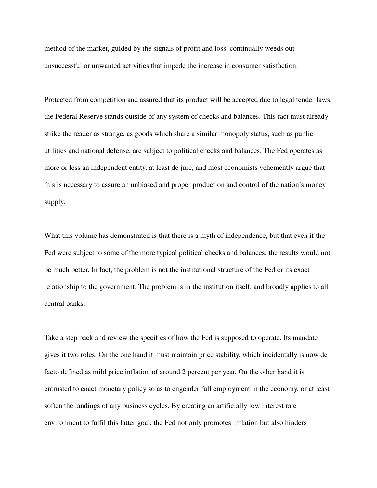method of the market, guided by the signals of profit and loss, continually weeds out unsuccessful or unwanted activities that impede the increase in consumer satisfaction.

Protected from competition and assured that its product will be accepted due to legal tender laws, the Federal Reserve stands outside of any system of checks and balances. This fact must already strike the reader as strange, as goods which share a similar monopoly status, such as public utilities and national defense, are subject to political checks and balances. The Fed operates as more or less an independent entity, at least de jure, and most economists vehemently argue that this is necessary to assure an unbiased and proper production and control of the nation's money supply.

What this volume has demonstrated is that there is a myth of independence, but that even if the Fed were subject to some of the more typical political checks and balances, the results would not be much better. In fact, the problem is not the institutional structure of the Fed or its exact relationship to the government. The problem is in the institution itself, and broadly applies to all central banks.

Take a step back and review the specifics of how the Fed is supposed to operate. Its mandate gives it two roles. On the one hand it must maintain price stability, which incidentally is now de facto defined as mild price inflation of around 2 percent per year. On the other hand it is entrusted to enact monetary policy so as to engender full employment in the economy, or at least soften the landings of any business cycles. By creating an artificially low interest rate environment to fulfil this latter goal, the Fed not only promotes inflation but also hinders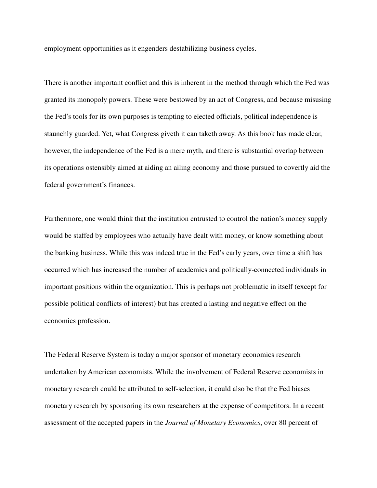employment opportunities as it engenders destabilizing business cycles.

There is another important conflict and this is inherent in the method through which the Fed was granted its monopoly powers. These were bestowed by an act of Congress, and because misusing the Fed's tools for its own purposes is tempting to elected officials, political independence is staunchly guarded. Yet, what Congress giveth it can taketh away. As this book has made clear, however, the independence of the Fed is a mere myth, and there is substantial overlap between its operations ostensibly aimed at aiding an ailing economy and those pursued to covertly aid the federal government's finances.

Furthermore, one would think that the institution entrusted to control the nation's money supply would be staffed by employees who actually have dealt with money, or know something about the banking business. While this was indeed true in the Fed's early years, over time a shift has occurred which has increased the number of academics and politically-connected individuals in important positions within the organization. This is perhaps not problematic in itself (except for possible political conflicts of interest) but has created a lasting and negative effect on the economics profession.

The Federal Reserve System is today a major sponsor of monetary economics research undertaken by American economists. While the involvement of Federal Reserve economists in monetary research could be attributed to self-selection, it could also be that the Fed biases monetary research by sponsoring its own researchers at the expense of competitors. In a recent assessment of the accepted papers in the *Journal of Monetary Economics*, over 80 percent of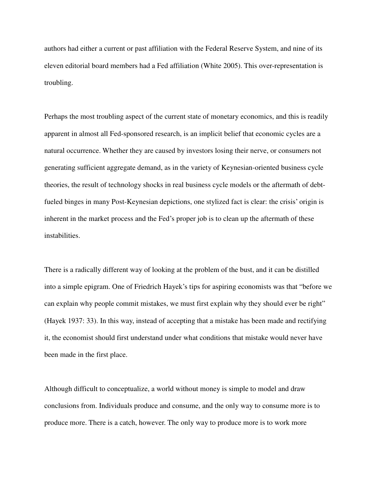authors had either a current or past affiliation with the Federal Reserve System, and nine of its eleven editorial board members had a Fed affiliation (White 2005). This over-representation is troubling.

Perhaps the most troubling aspect of the current state of monetary economics, and this is readily apparent in almost all Fed-sponsored research, is an implicit belief that economic cycles are a natural occurrence. Whether they are caused by investors losing their nerve, or consumers not generating sufficient aggregate demand, as in the variety of Keynesian-oriented business cycle theories, the result of technology shocks in real business cycle models or the aftermath of debtfueled binges in many Post-Keynesian depictions, one stylized fact is clear: the crisis' origin is inherent in the market process and the Fed's proper job is to clean up the aftermath of these instabilities.

There is a radically different way of looking at the problem of the bust, and it can be distilled into a simple epigram. One of Friedrich Hayek's tips for aspiring economists was that "before we can explain why people commit mistakes, we must first explain why they should ever be right" (Hayek 1937: 33). In this way, instead of accepting that a mistake has been made and rectifying it, the economist should first understand under what conditions that mistake would never have been made in the first place.

Although difficult to conceptualize, a world without money is simple to model and draw conclusions from. Individuals produce and consume, and the only way to consume more is to produce more. There is a catch, however. The only way to produce more is to work more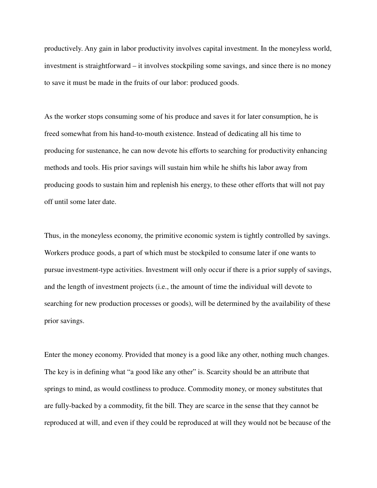productively. Any gain in labor productivity involves capital investment. In the moneyless world, investment is straightforward – it involves stockpiling some savings, and since there is no money to save it must be made in the fruits of our labor: produced goods.

As the worker stops consuming some of his produce and saves it for later consumption, he is freed somewhat from his hand-to-mouth existence. Instead of dedicating all his time to producing for sustenance, he can now devote his efforts to searching for productivity enhancing methods and tools. His prior savings will sustain him while he shifts his labor away from producing goods to sustain him and replenish his energy, to these other efforts that will not pay off until some later date.

Thus, in the moneyless economy, the primitive economic system is tightly controlled by savings. Workers produce goods, a part of which must be stockpiled to consume later if one wants to pursue investment-type activities. Investment will only occur if there is a prior supply of savings, and the length of investment projects (i.e., the amount of time the individual will devote to searching for new production processes or goods), will be determined by the availability of these prior savings.

Enter the money economy. Provided that money is a good like any other, nothing much changes. The key is in defining what "a good like any other" is. Scarcity should be an attribute that springs to mind, as would costliness to produce. Commodity money, or money substitutes that are fully-backed by a commodity, fit the bill. They are scarce in the sense that they cannot be reproduced at will, and even if they could be reproduced at will they would not be because of the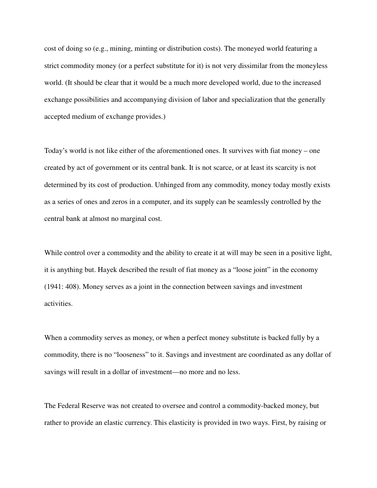cost of doing so (e.g., mining, minting or distribution costs). The moneyed world featuring a strict commodity money (or a perfect substitute for it) is not very dissimilar from the moneyless world. (It should be clear that it would be a much more developed world, due to the increased exchange possibilities and accompanying division of labor and specialization that the generally accepted medium of exchange provides.)

Today's world is not like either of the aforementioned ones. It survives with fiat money – one created by act of government or its central bank. It is not scarce, or at least its scarcity is not determined by its cost of production. Unhinged from any commodity, money today mostly exists as a series of ones and zeros in a computer, and its supply can be seamlessly controlled by the central bank at almost no marginal cost.

While control over a commodity and the ability to create it at will may be seen in a positive light, it is anything but. Hayek described the result of fiat money as a "loose joint" in the economy (1941: 408). Money serves as a joint in the connection between savings and investment activities.

When a commodity serves as money, or when a perfect money substitute is backed fully by a commodity, there is no "looseness" to it. Savings and investment are coordinated as any dollar of savings will result in a dollar of investment—no more and no less.

The Federal Reserve was not created to oversee and control a commodity-backed money, but rather to provide an elastic currency. This elasticity is provided in two ways. First, by raising or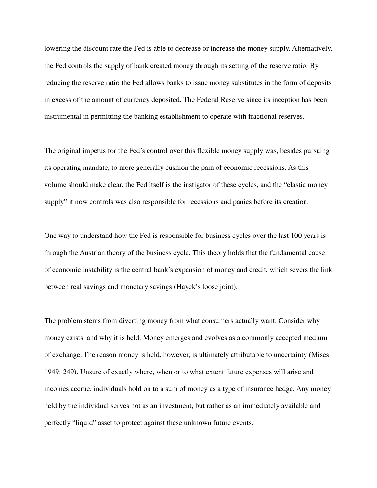lowering the discount rate the Fed is able to decrease or increase the money supply. Alternatively, the Fed controls the supply of bank created money through its setting of the reserve ratio. By reducing the reserve ratio the Fed allows banks to issue money substitutes in the form of deposits in excess of the amount of currency deposited. The Federal Reserve since its inception has been instrumental in permitting the banking establishment to operate with fractional reserves.

The original impetus for the Fed's control over this flexible money supply was, besides pursuing its operating mandate, to more generally cushion the pain of economic recessions. As this volume should make clear, the Fed itself is the instigator of these cycles, and the "elastic money supply" it now controls was also responsible for recessions and panics before its creation.

One way to understand how the Fed is responsible for business cycles over the last 100 years is through the Austrian theory of the business cycle. This theory holds that the fundamental cause of economic instability is the central bank's expansion of money and credit, which severs the link between real savings and monetary savings (Hayek's loose joint).

The problem stems from diverting money from what consumers actually want. Consider why money exists, and why it is held. Money emerges and evolves as a commonly accepted medium of exchange. The reason money is held, however, is ultimately attributable to uncertainty (Mises 1949: 249). Unsure of exactly where, when or to what extent future expenses will arise and incomes accrue, individuals hold on to a sum of money as a type of insurance hedge. Any money held by the individual serves not as an investment, but rather as an immediately available and perfectly "liquid" asset to protect against these unknown future events.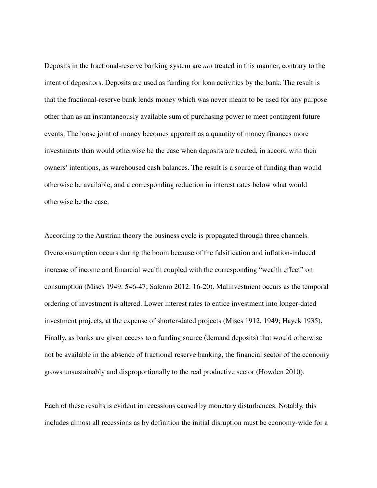Deposits in the fractional-reserve banking system are *not* treated in this manner, contrary to the intent of depositors. Deposits are used as funding for loan activities by the bank. The result is that the fractional-reserve bank lends money which was never meant to be used for any purpose other than as an instantaneously available sum of purchasing power to meet contingent future events. The loose joint of money becomes apparent as a quantity of money finances more investments than would otherwise be the case when deposits are treated, in accord with their owners' intentions, as warehoused cash balances. The result is a source of funding than would otherwise be available, and a corresponding reduction in interest rates below what would otherwise be the case.

According to the Austrian theory the business cycle is propagated through three channels. Overconsumption occurs during the boom because of the falsification and inflation-induced increase of income and financial wealth coupled with the corresponding "wealth effect" on consumption (Mises 1949: 546-47; Salerno 2012: 16-20). Malinvestment occurs as the temporal ordering of investment is altered. Lower interest rates to entice investment into longer-dated investment projects, at the expense of shorter-dated projects (Mises 1912, 1949; Hayek 1935). Finally, as banks are given access to a funding source (demand deposits) that would otherwise not be available in the absence of fractional reserve banking, the financial sector of the economy grows unsustainably and disproportionally to the real productive sector (Howden 2010).

Each of these results is evident in recessions caused by monetary disturbances. Notably, this includes almost all recessions as by definition the initial disruption must be economy-wide for a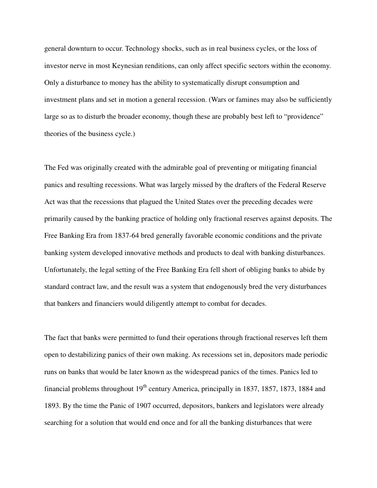general downturn to occur. Technology shocks, such as in real business cycles, or the loss of investor nerve in most Keynesian renditions, can only affect specific sectors within the economy. Only a disturbance to money has the ability to systematically disrupt consumption and investment plans and set in motion a general recession. (Wars or famines may also be sufficiently large so as to disturb the broader economy, though these are probably best left to "providence" theories of the business cycle.)

The Fed was originally created with the admirable goal of preventing or mitigating financial panics and resulting recessions. What was largely missed by the drafters of the Federal Reserve Act was that the recessions that plagued the United States over the preceding decades were primarily caused by the banking practice of holding only fractional reserves against deposits. The Free Banking Era from 1837-64 bred generally favorable economic conditions and the private banking system developed innovative methods and products to deal with banking disturbances. Unfortunately, the legal setting of the Free Banking Era fell short of obliging banks to abide by standard contract law, and the result was a system that endogenously bred the very disturbances that bankers and financiers would diligently attempt to combat for decades.

The fact that banks were permitted to fund their operations through fractional reserves left them open to destabilizing panics of their own making. As recessions set in, depositors made periodic runs on banks that would be later known as the widespread panics of the times. Panics led to financial problems throughout  $19<sup>th</sup>$  century America, principally in 1837, 1857, 1873, 1884 and 1893. By the time the Panic of 1907 occurred, depositors, bankers and legislators were already searching for a solution that would end once and for all the banking disturbances that were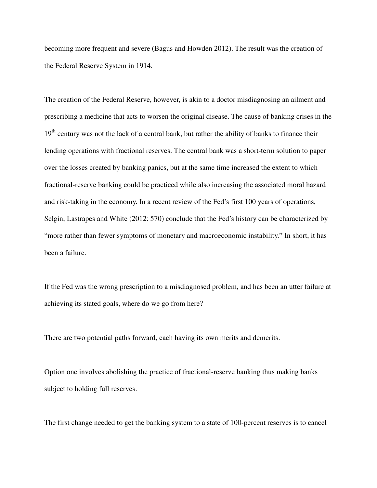becoming more frequent and severe (Bagus and Howden 2012). The result was the creation of the Federal Reserve System in 1914.

The creation of the Federal Reserve, however, is akin to a doctor misdiagnosing an ailment and prescribing a medicine that acts to worsen the original disease. The cause of banking crises in the 19<sup>th</sup> century was not the lack of a central bank, but rather the ability of banks to finance their lending operations with fractional reserves. The central bank was a short-term solution to paper over the losses created by banking panics, but at the same time increased the extent to which fractional-reserve banking could be practiced while also increasing the associated moral hazard and risk-taking in the economy. In a recent review of the Fed's first 100 years of operations, Selgin, Lastrapes and White (2012: 570) conclude that the Fed's history can be characterized by "more rather than fewer symptoms of monetary and macroeconomic instability." In short, it has been a failure.

If the Fed was the wrong prescription to a misdiagnosed problem, and has been an utter failure at achieving its stated goals, where do we go from here?

There are two potential paths forward, each having its own merits and demerits.

Option one involves abolishing the practice of fractional-reserve banking thus making banks subject to holding full reserves.

The first change needed to get the banking system to a state of 100-percent reserves is to cancel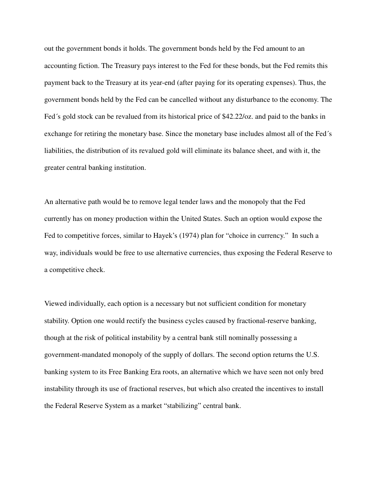out the government bonds it holds. The government bonds held by the Fed amount to an accounting fiction. The Treasury pays interest to the Fed for these bonds, but the Fed remits this payment back to the Treasury at its year-end (after paying for its operating expenses). Thus, the government bonds held by the Fed can be cancelled without any disturbance to the economy. The Fed´s gold stock can be revalued from its historical price of \$42.22/oz. and paid to the banks in exchange for retiring the monetary base. Since the monetary base includes almost all of the Fed´s liabilities, the distribution of its revalued gold will eliminate its balance sheet, and with it, the greater central banking institution.

An alternative path would be to remove legal tender laws and the monopoly that the Fed currently has on money production within the United States. Such an option would expose the Fed to competitive forces, similar to Hayek's (1974) plan for "choice in currency." In such a way, individuals would be free to use alternative currencies, thus exposing the Federal Reserve to a competitive check.

Viewed individually, each option is a necessary but not sufficient condition for monetary stability. Option one would rectify the business cycles caused by fractional-reserve banking, though at the risk of political instability by a central bank still nominally possessing a government-mandated monopoly of the supply of dollars. The second option returns the U.S. banking system to its Free Banking Era roots, an alternative which we have seen not only bred instability through its use of fractional reserves, but which also created the incentives to install the Federal Reserve System as a market "stabilizing" central bank.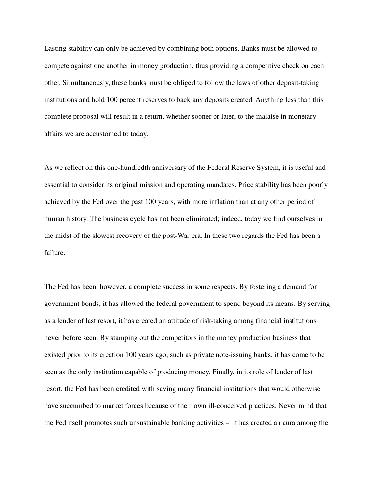Lasting stability can only be achieved by combining both options. Banks must be allowed to compete against one another in money production, thus providing a competitive check on each other. Simultaneously, these banks must be obliged to follow the laws of other deposit-taking institutions and hold 100 percent reserves to back any deposits created. Anything less than this complete proposal will result in a return, whether sooner or later, to the malaise in monetary affairs we are accustomed to today.

As we reflect on this one-hundredth anniversary of the Federal Reserve System, it is useful and essential to consider its original mission and operating mandates. Price stability has been poorly achieved by the Fed over the past 100 years, with more inflation than at any other period of human history. The business cycle has not been eliminated; indeed, today we find ourselves in the midst of the slowest recovery of the post-War era. In these two regards the Fed has been a failure.

The Fed has been, however, a complete success in some respects. By fostering a demand for government bonds, it has allowed the federal government to spend beyond its means. By serving as a lender of last resort, it has created an attitude of risk-taking among financial institutions never before seen. By stamping out the competitors in the money production business that existed prior to its creation 100 years ago, such as private note-issuing banks, it has come to be seen as the only institution capable of producing money. Finally, in its role of lender of last resort, the Fed has been credited with saving many financial institutions that would otherwise have succumbed to market forces because of their own ill-conceived practices. Never mind that the Fed itself promotes such unsustainable banking activities – it has created an aura among the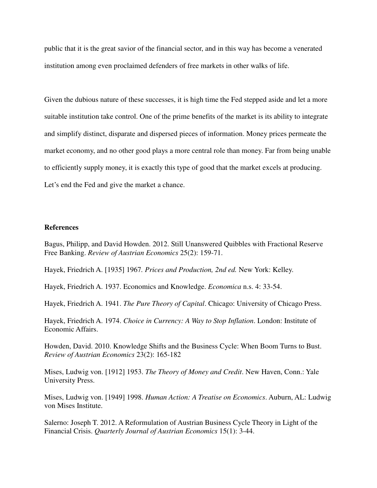public that it is the great savior of the financial sector, and in this way has become a venerated institution among even proclaimed defenders of free markets in other walks of life.

Given the dubious nature of these successes, it is high time the Fed stepped aside and let a more suitable institution take control. One of the prime benefits of the market is its ability to integrate and simplify distinct, disparate and dispersed pieces of information. Money prices permeate the market economy, and no other good plays a more central role than money. Far from being unable to efficiently supply money, it is exactly this type of good that the market excels at producing. Let's end the Fed and give the market a chance.

## **References**

Bagus, Philipp, and David Howden. 2012. Still Unanswered Quibbles with Fractional Reserve Free Banking. *Review of Austrian Economics* 25(2): 159-71.

Hayek, Friedrich A. [1935] 1967*. Prices and Production, 2nd ed.* New York: Kelley.

Hayek, Friedrich A. 1937. Economics and Knowledge. *Economica* n.s. 4: 33-54.

Hayek, Friedrich A. 1941. *The Pure Theory of Capital*. Chicago: University of Chicago Press.

Hayek, Friedrich A. 1974. *Choice in Currency: A Way to Stop Inflation*. London: Institute of Economic Affairs.

Howden, David. 2010. Knowledge Shifts and the Business Cycle: When Boom Turns to Bust. *Review of Austrian Economics* 23(2): 165-182

Mises, Ludwig von. [1912] 1953. *The Theory of Money and Credit*. New Haven, Conn.: Yale University Press.

Mises, Ludwig von. [1949] 1998. *Human Action: A Treatise on Economics*. Auburn, AL: Ludwig von Mises Institute.

Salerno: Joseph T. 2012. A Reformulation of Austrian Business Cycle Theory in Light of the Financial Crisis. *Quarterly Journal of Austrian Economics* 15(1): 3-44.